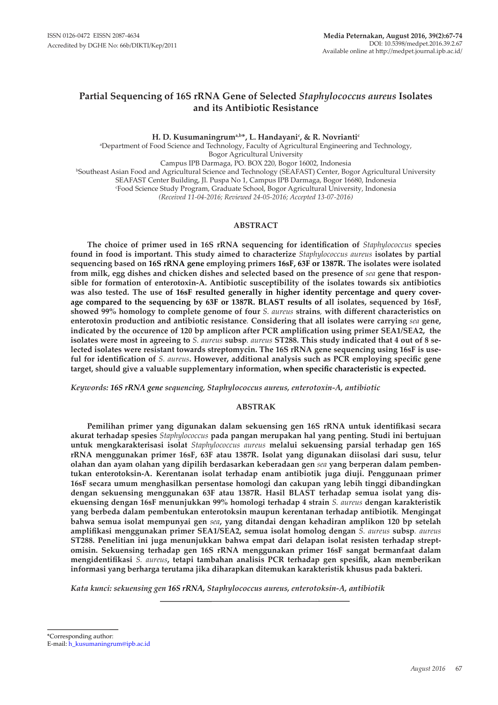# **Partial Sequencing of 16S rRNA Gene of Selected** *Staphylococcus aureus* **Isolates and its Antibiotic Resistance**

**H. D. Kusumaningruma,b\*, L. Handayanic , & R. Novriantic** a Department of Food Science and Technology, Faculty of Agricultural Engineering and Technology, Bogor Agricultural University Campus IPB Darmaga, PO. BOX 220, Bogor 16002, Indonesia b Southeast Asian Food and Agricultural Science and Technology (SEAFAST) Center, Bogor Agricultural University SEAFAST Center Building, Jl. Puspa No 1, Campus IPB Darmaga, Bogor 16680, Indonesia c Food Science Study Program, Graduate School, Bogor Agricultural University, Indonesia *(Received 11-04-2016; Reviewed 24-05-2016; Accepted 13-07-2016)*

## **ABSTRACT**

**The choice of primer used in 16S rRNA sequencing for identification of** *Staphylococcus* **species found in food is important. This study aimed to characterize** *Staphylococcus aureus* **isolates by partial sequencing based on 16S rRNA gene employing primers 16sF, 63F or 1387R. The isolates were isolated from milk, egg dishes and chicken dishes and selected based on the presence of** *sea* **gene that responsible for formation of enterotoxin-A. Antibiotic susceptibility of the isolates towards six antibiotics was also tested. The use of 16sF resulted generally in higher identity percentage and query coverage compared to the sequencing by 63F or 1387R. BLAST results of all isolates, sequenced by 16sF, showed 99% homology to complete genome of four** *S. aureus* **strains***,* **with different characteristics on enterotoxin production and antibiotic resistance***.* **Considering that all isolates were carrying** *sea* **gene, indicated by the occurence of 120 bp amplicon after PCR amplification using primer SEA1/SEA2, the isolates were most in agreeing to** *S. aureus* **subsp***. aureus* **ST288. This study indicated that 4 out of 8 selected isolates were resistant towards streptomycin. The 16S rRNA gene sequencing using 16sF is useful for identification of** *S. aureus***. However, additional analysis such as PCR employing specific gene target, should give a valuable supplementary information, when specific characteristic is expected.**

*Keywords: 16S rRNA gene sequencing, Staphylococcus aureus, enterotoxin-A, antibiotic*

### **ABSTRAK**

**Pemilihan primer yang digunakan dalam sekuensing gen 16S rRNA untuk identifikasi secara akurat terhadap spesies** *Staphylococcus* **pada pangan merupakan hal yang penting. Studi ini bertujuan untuk mengkarakterisasi isolat** *Staphylococcus aureus* **melalui sekuensing parsial terhadap gen 16S rRNA menggunakan primer 16sF, 63F atau 1387R. Isolat yang digunakan diisolasi dari susu, telur olahan dan ayam olahan yang dipilih berdasarkan keberadaan gen** *sea* **yang berperan dalam pembentukan enterotoksin-A. Kerentanan isolat terhadap enam antibiotik juga diuji. Penggunaan primer 16sF secara umum menghasilkan persentase homologi dan cakupan yang lebih tinggi dibandingkan dengan sekuensing menggunakan 63F atau 1387R. Hasil BLAST terhadap semua isolat yang disekuensing dengan 16sF menunjukkan 99% homologi terhadap 4 strain** *S. aureus* **dengan karakteristik yang berbeda dalam pembentukan enterotoksin maupun kerentanan terhadap antibiotik***.* **Mengingat bahwa semua isolat mempunyai gen** *sea***, yang ditandai dengan kehadiran amplikon 120 bp setelah amplifikasi menggunakan primer SEA1/SEA2, semua isolat homolog dengan** *S. aureus* **subsp***. aureus*  **ST288. Penelitian ini juga menunjukkan bahwa empat dari delapan isolat resisten terhadap streptomisin. Sekuensing terhadap gen 16S rRNA menggunakan primer 16sF sangat bermanfaat dalam mengidentifikasi** *S. aureus***, tetapi tambahan analisis PCR terhadap gen spesifik, akan memberikan informasi yang berharga terutama jika diharapkan ditemukan karakteristik khusus pada bakteri.** 

*Kata kunci: sekuensing gen 16S rRNA, Staphylococcus aureus, enterotoksin-A, antibiotik*

\*Corresponding author: E-mail: h\_kusumaningrum@ipb.ac.id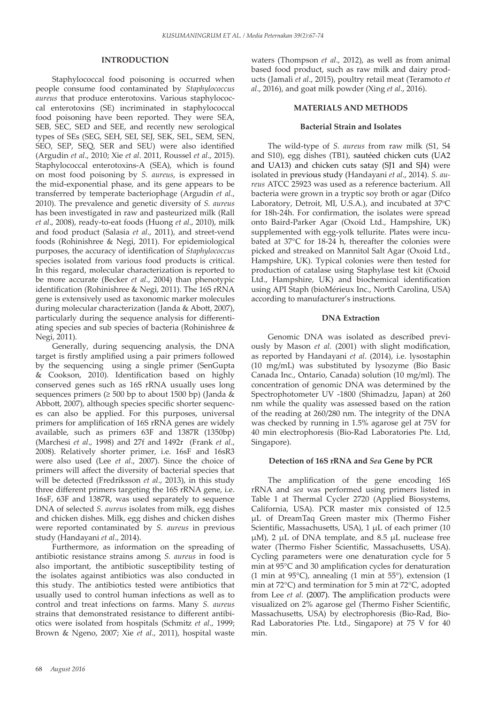### **INTRODUCTION**

Staphylococcal food poisoning is occurred when people consume food contaminated by *Staphylococcus aureus* that produce enterotoxins. Various staphylococcal enterotoxins (SE) incriminated in staphylococcal food poisoning have been reported. They were SEA, SEB, SEC, SED and SEE, and recently new serological types of SEs (SEG, SEH, SEI, SEJ, SEK, SEL, SEM, SEN, SEO, SEP, SEQ, SER and SEU) were also identified (Argudin *et al*., 2010; Xie *et al*. 2011, Roussel *et al*., 2015). Staphylococcal enterotoxins-A (SEA), which is found on most food poisoning by *S. aureus*, is expressed in the mid-exponential phase, and its gene appears to be transferred by temperate bacteriophage (Argudin *et al*., 2010). The prevalence and genetic diversity of *S. aureus* has been investigated in raw and pasteurized milk (Rall *et al*., 2008), ready-to-eat foods (Huong *et al*., 2010), milk and food product (Salasia *et al*., 2011), and street-vend foods (Rohinishree & Negi, 2011). For epidemiological purposes, the accuracy of identification of *Staphylococcus* species isolated from various food products is critical. In this regard, molecular characterization is reported to be more accurate (Becker *et al*., 2004) than phenotypic identification (Rohinishree & Negi, 2011). The 16S rRNA gene is extensively used as taxonomic marker molecules during molecular characterization (Janda & Abott, 2007), particularly during the sequence analysis for differentiating species and sub species of bacteria (Rohinishree & Negi, 2011).

Generally, during sequencing analysis, the DNA target is firstly amplified using a pair primers followed by the sequencing using a single primer (SenGupta & Cookson, 2010). Identification based on highly conserved genes such as 16S rRNA usually uses long sequences primers ( $\geq 500$  bp to about 1500 bp) (Janda & Abbott, 2007), although species specific shorter sequences can also be applied. For this purposes, universal primers for amplification of 16S rRNA genes are widely available, such as primers 63F and 1387R (1350bp) (Marchesi *et al*., 1998) and 27f and 1492r (Frank *et al*., 2008). Relatively shorter primer, i.e. 16sF and 16sR3 were also used (Lee *et al*., 2007). Since the choice of primers will affect the diversity of bacterial species that will be detected (Fredriksson *et al*., 2013), in this study three different primers targeting the 16S rRNA gene, i.e. 16sF, 63F and 1387R, was used separately to sequence DNA of selected *S. aureus* isolates from milk, egg dishes and chicken dishes. Milk, egg dishes and chicken dishes were reported contaminated by *S. aureus* in previous study (Handayani *et al*., 2014).

Furthermore, as information on the spreading of antibiotic resistance strains among *S. aureus* in food is also important, the antibiotic susceptibility testing of the isolates against antibiotics was also conducted in this study. The antibiotics tested were antibiotics that usually used to control human infections as well as to control and treat infections on farms. Many *S. aureus* strains that demonstrated resistance to different antibiotics were isolated from hospitals (Schmitz *et al*., 1999; Brown & Ngeno, 2007; Xie *et al*., 2011), hospital waste waters (Thompson *et al*., 2012), as well as from animal based food product, such as raw milk and dairy products (Jamali *et al*., 2015), poultry retail meat (Teramoto *et al*., 2016), and goat milk powder (Xing *et al*., 2016).

#### **MATERIALS AND METHODS**

### **Bacterial Strain and Isolates**

The wild-type of *S. aureus* from raw milk (S1, S4 and S10), egg dishes (TB1), sautéed chicken cuts (UA2 and UA13) and chicken cuts satay (SJ1 and SJ4) were isolated in previous study (Handayani *et al*., 2014). *S. aureus* ATCC 25923 was used as a reference bacterium. All bacteria were grown in a tryptic soy broth or agar (Difco Laboratory, Detroit, MI, U.S.A.), and incubated at  $37^{\circ}$ C for 18h-24h. For confirmation, the isolates were spread onto Baird-Parker Agar (Oxoid Ltd., Hampshire, UK) supplemented with egg-yolk tellurite. Plates were incubated at 37°C for 18-24 h, thereafter the colonies were picked and streaked on Mannitol Salt Agar (Oxoid Ltd., Hampshire, UK). Typical colonies were then tested for production of catalase using Staphylase test kit (Oxoid Ltd., Hampshire, UK) and biochemical identification using API Staph (bioMérieux Inc., North Carolina, USA) according to manufacturer's instructions.

### **DNA Extraction**

Genomic DNA was isolated as described previously by Mason *et al.* (2001) with slight modification, as reported by Handayani *et al*. (2014), i.e. lysostaphin (10 mg/mL) was substituted by lysozyme (Bio Basic Canada Inc., Ontario, Canada) solution (10 mg/ml). The concentration of genomic DNA was determined by the Spectrophotometer UV -1800 (Shimadzu, Japan) at 260 nm while the quality was assessed based on the ration of the reading at 260/280 nm. The integrity of the DNA was checked by running in 1.5% agarose gel at 75V for 40 min electrophoresis (Bio-Rad Laboratories Pte. Ltd, Singapore).

### **Detection of 16S rRNA and** *Sea* **Gene by PCR**

The amplification of the gene encoding 16S rRNA and *sea* was performed using primers listed in Table 1 at Thermal Cycler 2720 (Applied Biosystems, California, USA). PCR master mix consisted of 12.5 µL of DreamTaq Green master mix (Thermo Fisher Scientific, Massachusetts, USA), 1 µL of each primer (10  $\mu$ M), 2  $\mu$ L of DNA template, and 8.5  $\mu$ L nuclease free water (Thermo Fisher Scientific, Massachusetts, USA). Cycling parameters were one denaturation cycle for 5 min at 95°C and 30 amplification cycles for denaturation (1 min at 95°C), annealing (1 min at 55°), extension (1 min at 72°C) and termination for 5 min at 72°C, adopted from Lee *et al.* (2007). The amplification products were visualized on 2% agarose gel (Thermo Fisher Scientific, Massachusetts, USA) by electrophoresis (Bio-Rad, Bio-Rad Laboratories Pte. Ltd., Singapore) at 75 V for 40 min.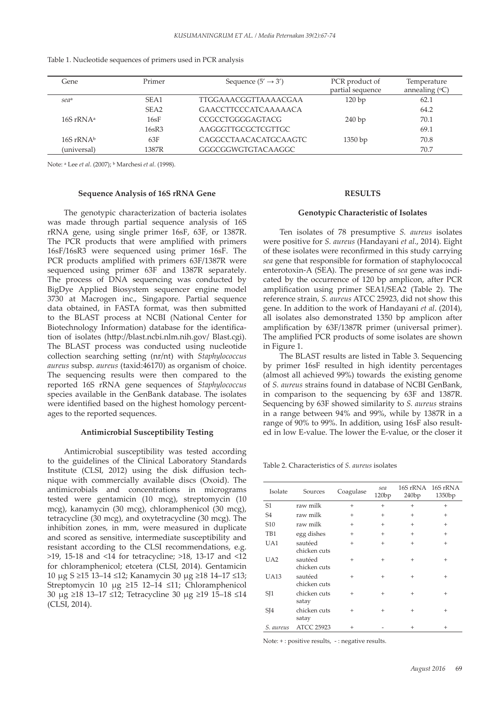| Gene             | Primer           | Sequence $(5' \rightarrow 3')$ | PCR product of<br>partial sequence | Temperature<br>annealing $({}^{\circ}C)$ |
|------------------|------------------|--------------------------------|------------------------------------|------------------------------------------|
| sea <sup>a</sup> | SEA1             | <b>TTGGAAACGGTTAAAACGAA</b>    | 120bp                              | 62.1                                     |
|                  | SEA <sub>2</sub> | GAACCTTCCCATCAAAAACA           |                                    | 64.2                                     |
| $16S rRNA^a$     | 16sF             | CCGCCTGGGGAGTACG               | 240bp                              | 70.1                                     |
|                  | $16$ s $R3$      | AAGGGTTGCGCTCGTTGC             |                                    | 69.1                                     |
| $16S$ rRNAb      | 63F              | CAGGCCTAACACATGCAAGTC          | 1350bp                             | 70.8                                     |
| (universal)      | 1387R            | GGGCGGWGTGTACAAGGC             |                                    | 70.7                                     |

| Table 1. Nucleotide sequences of primers used in PCR analysis |  |  |  |
|---------------------------------------------------------------|--|--|--|
|---------------------------------------------------------------|--|--|--|

Note: <sup>*a*</sup> Lee *et al.* (2007); <sup>*b*</sup> Marchesi *et al.* (1998).

#### **Sequence Analysis of 16S rRNA Gene**

The genotypic characterization of bacteria isolates was made through partial sequence analysis of 16S rRNA gene, using single primer 16sF, 63F, or 1387R. The PCR products that were amplified with primers 16sF/16sR3 were sequenced using primer 16sF. The PCR products amplified with primers 63F/1387R were sequenced using primer 63F and 1387R separately. The process of DNA sequencing was conducted by BigDye Applied Biosystem sequencer engine model 3730 at Macrogen inc., Singapore. Partial sequence data obtained, in FASTA format, was then submitted to the BLAST process at NCBI (National Center for Biotechnology Information) database for the identification of isolates (http://blast.ncbi.nlm.nih.gov/ Blast.cgi). The BLAST process was conducted using nucleotide collection searching setting (nr/nt) with *Staphylococcus aureus* subsp. *aureus* (taxid:46170) as organism of choice. The sequencing results were then compared to the reported 16S rRNA gene sequences of *Staphylococcus* species available in the GenBank database. The isolates were identified based on the highest homology percentages to the reported sequences.

#### **Antimicrobial Susceptibility Testing**

Antimicrobial susceptibility was tested according to the guidelines of the Clinical Laboratory Standards Institute (CLSI, 2012) using the disk diffusion technique with commercially available discs (Oxoid). The antimicrobials and concentrations in micrograms tested were gentamicin (10 mcg), streptomycin (10 mcg), kanamycin (30 mcg), chloramphenicol (30 mcg), tetracycline (30 mcg), and oxytetracycline (30 mcg). The inhibition zones, in mm, were measured in duplicate and scored as sensitive, intermediate susceptibility and resistant according to the CLSI recommendations, e.g. >19, 15-18 and <14 for tetracycline; >18, 13-17 and <12 for chloramphenicol; etcetera (CLSI, 2014). Gentamicin 10 μg S ≥15 13–14 ≤12; Kanamycin 30 μg ≥18 14–17 ≤13; Streptomycin 10 μg ≥15 12–14 ≤11; Chloramphenicol 30 μg ≥18 13–17 ≤12; Tetracycline 30 μg ≥19 15–18 ≤14 (CLSI, 2014).

### **RESULTS**

#### **Genotypic Characteristic of Isolates**

Ten isolates of 78 presumptive *S. aureus* isolates were positive for *S. aureus* (Handayani *et al*., 2014). Eight of these isolates were reconfirmed in this study carrying *sea* gene that responsible for formation of staphylococcal enterotoxin-A (SEA). The presence of *sea* gene was indicated by the occurrence of 120 bp amplicon, after PCR amplification using primer SEA1/SEA2 (Table 2). The reference strain, *S. aureus* ATCC 25923, did not show this gene. In addition to the work of Handayani *et al*. (2014), all isolates also demonstrated 1350 bp amplicon after amplification by 63F/1387R primer (universal primer). The amplified PCR products of some isolates are shown in Figure 1.

The BLAST results are listed in Table 3. Sequencing by primer 16sF resulted in high identity percentages (almost all achieved 99%) towards the existing genome of *S. aureus* strains found in database of NCBI GenBank, in comparison to the sequencing by 63F and 1387R. Sequencing by 63F showed similarity to *S. aureus* strains in a range between 94% and 99%, while by 1387R in a range of 90% to 99%. In addition, using 16sF also resulted in low E-value. The lower the E-value, or the closer it

Table 2. Characteristics of *S. aureus* isolates

| Isolate         | Sources                 | Coagulase          | sea<br>120bp | 16S rRNA<br>240bp  | 16S rRNA<br>1350bp |
|-----------------|-------------------------|--------------------|--------------|--------------------|--------------------|
| S <sub>1</sub>  | raw milk                | $^{+}$             | $\ddot{}$    | $^{+}$             | $^{+}$             |
| S <sub>4</sub>  | raw milk                | $^{+}$             | $\ddot{}$    | $^{+}$             | $^{+}$             |
| S <sub>10</sub> | raw milk                | $^{+}$             | $\ddot{}$    | $^{+}$             | $^{+}$             |
| TB1             | egg dishes              | $^{+}$             | $\ddot{}$    | $^{+}$             | $^{+}$             |
| UA1             | sautéed<br>chicken cuts | $^{+}$             | $\ddot{}$    | $^{+}$             | $^{+}$             |
| $U_A2$          | sautéed<br>chicken cuts | $^{+}$             | $\ddot{}$    | $^{+}$             | $^{+}$             |
| <b>UA13</b>     | sautéed<br>chicken cuts | $^{+}$             | $\ddot{}$    | $^{+}$             | $^{+}$             |
| SJ <sub>1</sub> | chicken cuts<br>satay   | $^{+}$             | $\ddot{}$    | $^{+}$             | $^{+}$             |
| SJ <sub>4</sub> | chicken cuts<br>satay   | $^{+}$             | $\ddot{}$    | $^{+}$             | $^{+}$             |
| S. aureus       | <b>ATCC 25923</b>       | $\hskip 0.025cm +$ |              | $\hskip 0.025cm +$ | $^{+}$             |

Note:  $+$ : positive results,  $-$ : negative results.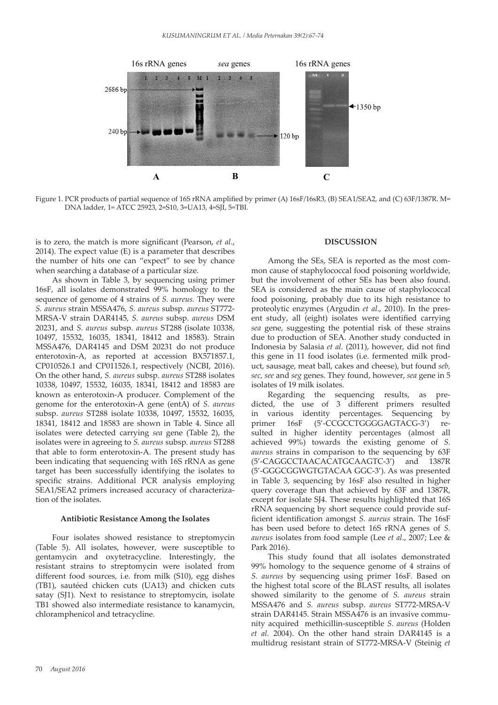

 $\frac{1}{2}$ Figure 1. PCR products of partial sequence of 16S rRNA amplified by primer (A) 16sF/16sR3, (B) SEA1/SEA2, and (C) 63F/1387R. M=<br>DNA ladder 1= ATCC 25923-2=S10-3=LIA13-4=SII-5=TBI DNA ladder, 1= ATCC 25923, 2=S10, 3=UA13, 4=SJI, 5=TBI.

is to zero, the match is more significant (Pearson, *et al*., as to zero, the matter is more significant (Fearson, *et ut.*,  $2014$ ). The expect value (E) is a parameter that describes the number of hits one can "expect" to see by chance when searching a database of a particular size.

As shown in Table 3, by sequencing using primer 16sF, all isolates demonstrated 99% homology to the sequence of genome of 4 strains of *S. aureus.* They were *S. aureus* strain MSSA476, *S. aureus* subsp. *aureus* ST772- MRSA-V strain DAR4145, *S. aureus* subsp. *aureus* DSM 20231, and *S. aureus* subsp. *aureus* ST288 (isolate 10338, 10497, 15532, 16035, 18341, 18412 and 18583). Strain MSSA476, DAR4145 and DSM 20231 do not produce enterotoxin-A, as reported at accession BX571857.1, CP010526.1 and CP011526.1, respectively (NCBI, 2016). On the other hand, *S. aureus* subsp. *aureus* ST288 isolates 10338, 10497, 15532, 16035, 18341, 18412 and 18583 are known as enterotoxin-A producer. Complement of the genome for the enterotoxin-A gene (entA) of *S. aureus* subsp. *aureus* ST288 isolate 10338, 10497, 15532, 16035, 18341, 18412 and 18583 are shown in Table 4. Since all isolates were detected carrying *sea* gene (Table 2), the isolates were in agreeing to *S. aureus* subsp. *aureus* ST288 that able to form enterotoxin-A. The present study has been indicating that sequencing with 16S rRNA as gene target has been successfully identifying the isolates to specific strains. Additional PCR analysis employing SEA1/SEA2 primers increased accuracy of characterization of the isolates.

#### **Antibiotic Resistance Among the Isolates**

Four isolates showed resistance to streptomycin (Table 5). All isolates, however, were susceptible to gentamycin and oxytetracycline. Interestingly, the resistant strains to streptomycin were isolated from different food sources, i.e. from milk (S10), egg dishes (TB1), sautéed chicken cuts (UA13) and chicken cuts satay (SJ1). Next to resistance to streptomycin, isolate TB1 showed also intermediate resistance to kanamycin, chloramphenicol and tetracycline.

#### **DISCUSSION**

Among the SEs, SEA is reported as the most common cause of staphylococcal food poisoning worldwide, but the involvement of other SEs has been also found. SEA is considered as the main cause of staphylococcal food poisoning, probably due to its high resistance to proteolytic enzymes (Argudin *et al*., 2010). In the present study, all (eight) isolates were identified carrying *sea* gene, suggesting the potential risk of these strains due to production of SEA. Another study conducted in Indonesia by Salasia *et al.* (2011), however, did not find this gene in 11 food isolates (i.e. fermented milk product, sausage, meat ball, cakes and cheese), but found *seb, sec, see* and *seg* genes. They found, however, *sea* gene in 5 isolates of 19 milk isolates.

Regarding the sequencing results, as predicted, the use of 3 different primers resulted in various identity percentages. Sequencing by primer 16sF (5'-CCGCCTGGGGAGTACG-3') resulted in higher identity percentages (almost all achieved 99%) towards the existing genome of *S. aureus* strains in comparison to the sequencing by 63F (5'-CAGGCCTAACACATGCAAGTC-3') and 1387R (5'-GGGCGGWGTGTACAA GGC-3'). As was presented in Table 3, sequencing by 16sF also resulted in higher query coverage than that achieved by 63F and 1387R, except for isolate SJ4. These results highlighted that 16S rRNA sequencing by short sequence could provide sufficient identification amongst *S. aureus* strain. The 16sF has been used before to detect 16S rRNA genes of *S. aureus* isolates from food sample (Lee *et al*., 2007; Lee & Park 2016).

This study found that all isolates demonstrated 99% homology to the sequence genome of 4 strains of *S. aureus* by sequencing using primer 16sF*.* Based on 22 the highest total score of the BLAST results, all isolates showed similarity to the genome of *S. aureus* strain MSSA476 and *S. aureus* subsp. *aureus* ST772-MRSA-V strain DAR4145. Strain MSSA476 is an invasive community acquired methicillin-susceptible *S. aureus* (Holden *et al.* 2004). On the other hand strain DAR4145 is a multidrug resistant strain of ST772-MRSA-V (Steinig *et*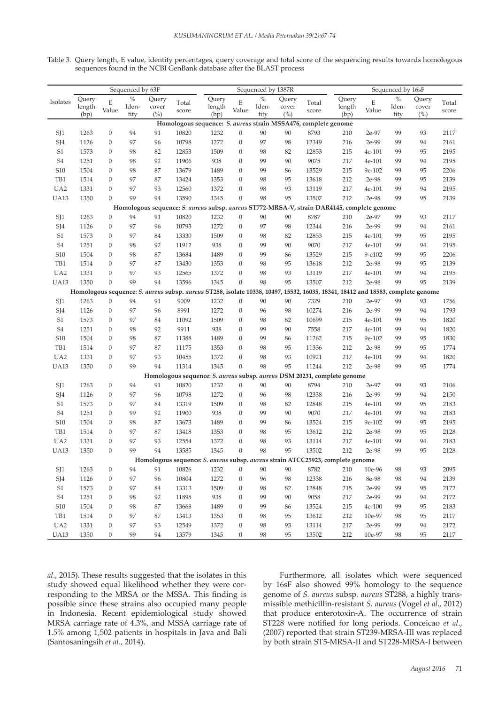Table 3. Query length, E value, identity percentages, query coverage and total score of the sequencing results towards homologous sequences found in the NCBI GenBank database after the BLAST process

|                            |        |                  | Sequenced by 63F |        |       | Sequenced by 1387R |                  |       | Sequenced by 16sF |                                                                                                                                 |         |            |       |       |       |
|----------------------------|--------|------------------|------------------|--------|-------|--------------------|------------------|-------|-------------------|---------------------------------------------------------------------------------------------------------------------------------|---------|------------|-------|-------|-------|
| Isolates                   | Query  | E                | $\%$             | Query  | Total | Query              | Ε                | $\%$  | Query             | Total                                                                                                                           | Query   | E          | $\%$  | Query | Total |
|                            | length | Value            | Iden-            | cover  | score | length             | Value            | Iden- | cover             | score                                                                                                                           | length  | Value      | Iden- | cover | score |
|                            | (bp)   |                  | tity             | $(\%)$ |       | (bp)               |                  | tity  | (%)               | Homologous sequence: S. aureus strain MSSA476, complete genome                                                                  | (bp)    |            | tity  | (%)   |       |
| SJ1                        | 1263   | $\mathbf{0}$     | 94               | 91     | 10820 | 1232               | $\boldsymbol{0}$ | 90    | 90                | 8793                                                                                                                            | 210     | 2e-97      | 99    | 93    | 2117  |
| SJ4                        | 1126   | $\overline{0}$   | 97               | 96     | 10798 | 1272               | $\boldsymbol{0}$ | 97    | 98                | 12349                                                                                                                           | 216     | 2e-99      | 99    | 94    | 2161  |
| S <sub>1</sub>             | 1573   | $\mathbf{0}$     | 98               | 82     | 12853 | 1509               | $\boldsymbol{0}$ | 98    | 82                | 12853                                                                                                                           | 215     | 4e-101     | 99    | 95    | 2195  |
| S <sub>4</sub>             | 1251   | $\mathbf{0}$     | 98               | 92     | 11906 | 938                | $\mathbf{0}$     | 99    | 90                | 9075                                                                                                                            | 217     | 4e-101     | 99    | 94    | 2195  |
| S <sub>10</sub>            | 1504   | $\mathbf{0}$     | 98               | 87     | 13679 | 1489               | $\mathbf{0}$     | 99    | 86                | 13529                                                                                                                           | 215     | 9e-102     | 99    | 95    | 2206  |
| TB1                        | 1514   | $\mathbf{0}$     | 97               | 87     | 13424 | 1353               | $\mathbf{0}$     | 98    | 95                | 13618                                                                                                                           | 212     | 2e-98      | 99    | 95    | 2139  |
| UA <sub>2</sub>            | 1331   | $\mathbf{0}$     | 97               | 93     | 12560 | 1372               | $\mathbf{0}$     | 98    | 93                | 13119                                                                                                                           | 217     | 4e-101     | 99    | 94    | 2195  |
| <b>UA13</b>                | 1350   | $\Omega$         | 99               | 94     | 13590 | 1345               | $\mathbf{0}$     | 98    | 95                | 13507                                                                                                                           | 212     | 2e-98      | 99    | 95    | 2139  |
|                            |        |                  |                  |        |       |                    |                  |       |                   | Homologous sequence: S. aureus subsp. aureus ST772-MRSA-V, strain DAR4145, complete genome                                      |         |            |       |       |       |
| SJ1                        | 1263   | $\mathbf{0}$     | 94               | 91     | 10820 | 1232               | $\boldsymbol{0}$ | 90    | 90                | 8787                                                                                                                            | 210     | 2e-97      | 99    | 93    | 2117  |
| SJ4                        | 1126   | $\mathbf{0}$     | 97               | 96     | 10793 | 1272               | $\boldsymbol{0}$ | 97    | 98                | 12344                                                                                                                           | 216     | 2e-99      | 99    | 94    | 2161  |
| S <sub>1</sub>             | 1573   | $\mathbf{0}$     | 97               | 84     | 13330 | 1509               | $\mathbf{0}$     | 98    | 82                | 12853                                                                                                                           | 215     | 4e-101     | 99    | 95    | 2195  |
| S <sub>4</sub>             | 1251   | $\mathbf{0}$     | 98               | 92     | 11912 | 938                | $\mathbf{0}$     | 99    | 90                | 9070                                                                                                                            | 217     | 4e-101     | 99    | 94    | 2195  |
| S <sub>10</sub>            | 1504   | $\mathbf{0}$     | 98               | 87     | 13684 | 1489               | $\theta$         | 99    | 86                | 13529                                                                                                                           | 215     | $9 - e102$ | 99    | 95    | 2206  |
| TB1                        | 1514   | $\mathbf{0}$     | 97               | 87     | 13430 | 1353               | $\boldsymbol{0}$ | 98    | 95                | 13618                                                                                                                           | 212     | 2e-98      | 99    | 95    | 2139  |
| UA <sub>2</sub>            | 1331   | $\mathbf{0}$     | 97               | 93     | 12565 | 1372               | $\mathbf{0}$     | 98    | 93                | 13119                                                                                                                           | 217     | 4e-101     | 99    | 94    | 2195  |
| <b>UA13</b>                | 1350   | $\Omega$         | 99               | 94     | 13596 | 1345               | $\mathbf{0}$     | 98    | 95                | 13507                                                                                                                           | 212     | 2e-98      | 99    | 95    | 2139  |
|                            |        |                  |                  |        |       |                    |                  |       |                   | Homologous sequence: S. aureus subsp. aureus ST288, isolate 10338, 10497, 15532, 16035, 18341, 18412 and 18583, complete genome |         |            |       |       |       |
| SJ1                        | 1263   | $\boldsymbol{0}$ | 94               | 91     | 9009  | 1232               | $\boldsymbol{0}$ | 90    | 90                | 7329                                                                                                                            | 210     | 2e-97      | 99    | 93    | 1756  |
| SJ4                        | 1126   | $\mathbf{0}$     | 97               | 96     | 8991  | 1272               | $\mathbf{0}$     | 96    | 98                | 10274                                                                                                                           | 216     | 2e-99      | 99    | 94    | 1793  |
| S1                         | 1573   | $\mathbf{0}$     | 97               | 84     | 11092 | 1509               | $\mathbf{0}$     | 98    | 82                | 10699                                                                                                                           | 215     | 4e-101     | 99    | 95    | 1820  |
| S <sub>4</sub>             | 1251   | $\mathbf{0}$     | 98               | 92     | 9911  | 938                | $\mathbf{0}$     | 99    | 90                | 7558                                                                                                                            | 217     | 4e-101     | 99    | 94    | 1820  |
| S <sub>10</sub>            | 1504   | $\overline{0}$   | 98               | 87     | 11388 | 1489               | $\mathbf{0}$     | 99    | 86                | 11262                                                                                                                           | 215     | 9e-102     | 99    | 95    | 1830  |
| TB1                        | 1514   | $\mathbf{0}$     | 97               | 87     | 11175 | 1353               | $\mathbf{0}$     | 98    | 95                | 11336                                                                                                                           | 212     | 2e-98      | 99    | 95    | 1774  |
| UA <sub>2</sub>            | 1331   | $\Omega$         | 97               | 93     | 10455 | 1372               | $\mathbf{0}$     | 98    | 93                | 10921                                                                                                                           | 217     | 4e-101     | 99    | 94    | 1820  |
| <b>UA13</b>                | 1350   | $\mathbf{0}$     | 99               | 94     | 11314 | 1345               | $\mathbf{0}$     | 98    | 95                | 11244                                                                                                                           | 212     | 2e-98      | 99    | 95    | 1774  |
|                            |        |                  |                  |        |       |                    |                  |       |                   | Homologous sequence: S. aureus subsp. aureus DSM 20231, complete genome                                                         |         |            |       |       |       |
| SJ1                        | 1263   | $\mathbf{0}$     | 94               | 91     | 10820 | 1232               | $\mathbf{0}$     | 90    | 90                | 8794                                                                                                                            | 210     | 2e-97      | 99    | 93    | 2106  |
| SJ4                        | 1126   | $\mathbf{0}$     | 97               | 96     | 10798 | 1272               | $\boldsymbol{0}$ | 96    | 98                | 12338                                                                                                                           | 216     | 2e-99      | 99    | 94    | 2150  |
| S <sub>1</sub>             | 1573   | $\mathbf{0}$     | 97               | 84     | 13319 | 1509               | $\boldsymbol{0}$ | 98    | 82                | 12848                                                                                                                           | 215     | 4e-101     | 99    | 95    | 2183  |
| S <sub>4</sub>             | 1251   | $\mathbf{0}$     | 99               | 92     | 11900 | 938                | $\mathbf{0}$     | 99    | 90                | 9070                                                                                                                            | 217     | 4e-101     | 99    | 94    | 2183  |
| S <sub>10</sub>            | 1504   | $\mathbf{0}$     | 98               | 87     | 13673 | 1489               | $\mathbf{0}$     | 99    | 86                | 13524                                                                                                                           | 215     | 9e-102     | 99    | 95    | 2195  |
| TB1                        | 1514   | $\mathbf{0}$     | 97               | 87     | 13418 | 1353               | $\mathbf{0}$     | 98    | 95                | 13612                                                                                                                           | 212     | 2e-98      | 99    | 95    | 2128  |
| UA <sub>2</sub>            | 1331   | $\mathbf{0}$     | 97               | 93     | 12554 | 1372               | $\mathbf{0}$     | 98    | 93                | 13114                                                                                                                           | 217     | 4e-101     | 99    | 94    | 2183  |
| <b>UA13</b>                | 1350   | $\mathbf{0}$     | 99               | 94     | 13585 | 1345               | $\mathbf{0}$     | 98    | 95                | 13502                                                                                                                           | 212     | 2e-98      | 99    | 95    | 2128  |
|                            |        |                  |                  |        |       |                    |                  |       |                   | Homologous sequence: S. aureus subsp. aureus strain ATCC25923, complete genome                                                  |         |            |       |       |       |
| SJ1                        | 1263   | $\boldsymbol{0}$ | 94               | 91     | 10826 | 1232               | $\boldsymbol{0}$ | 90    | 90                | 8782                                                                                                                            | 210     | 10e-96     | 98    | 93    | 2095  |
| SJ4                        | 1126   | $\boldsymbol{0}$ | 97               | 96     | 10804 | 1272               | $\boldsymbol{0}$ | 96    | 98                | 12338                                                                                                                           | 216     | 8e-98      | 98    | 94    | 2139  |
| $\ensuremath{\mathrm{S}}1$ | 1573   | $\mathbf{0}$     | 97               | 84     | 13313 | 1509               | $\boldsymbol{0}$ | 98    | 82                | 12848                                                                                                                           | 215     | 2e-99      | 99    | 95    | 2172  |
| ${\rm S4}$                 | 1251   | $\boldsymbol{0}$ | 98               | 92     | 11895 | 938                | $\boldsymbol{0}$ | 99    | 90                | 9058                                                                                                                            | $217\,$ | 2e-99      | 99    | 94    | 2172  |
| ${\sf S10}$                | 1504   | $\boldsymbol{0}$ | 98               | 87     | 13668 | 1489               | $\boldsymbol{0}$ | 99    | 86                | 13524                                                                                                                           | $215\,$ | 4e-100     | 99    | 95    | 2183  |
| TB1                        | 1514   | $\boldsymbol{0}$ | 97               | 87     | 13413 | 1353               | $\boldsymbol{0}$ | 98    | 95                | 13612                                                                                                                           | 212     | 10e-97     | 98    | 95    | 2117  |
| UA <sub>2</sub>            | 1331   | $\boldsymbol{0}$ | 97               | 93     | 12549 | 1372               | $\boldsymbol{0}$ | 98    | 93                | 13114                                                                                                                           | 217     | 2e-99      | 99    | 94    | 2172  |
| <b>UA13</b>                | 1350   | $\boldsymbol{0}$ | 99               | 94     | 13579 | 1345               | $\boldsymbol{0}$ | 98    | 95                | 13502                                                                                                                           | 212     | 10e-97     | 98    | 95    | 2117  |

*al*., 2015). These results suggested that the isolates in this study showed equal likelihood whether they were corresponding to the MRSA or the MSSA. This finding is possible since these strains also occupied many people in Indonesia. Recent epidemiological study showed MRSA carriage rate of 4.3%, and MSSA carriage rate of 1.5% among 1,502 patients in hospitals in Java and Bali (Santosaningsih *et al*., 2014).

Furthermore, all isolates which were sequenced by 16sF also showed 99% homology to the sequence genome of *S. aureus* subsp*. aureus* ST288, a highly transmissible methicillin-resistant *S. aureus* (Vogel *et al*., 2012) that produce enterotoxin-A. The occurrence of strain ST228 were notified for long periods. Conceicao *et al*., (2007) reported that strain ST239-MRSA-III was replaced by both strain ST5-MRSA-II and ST228-MRSA-I between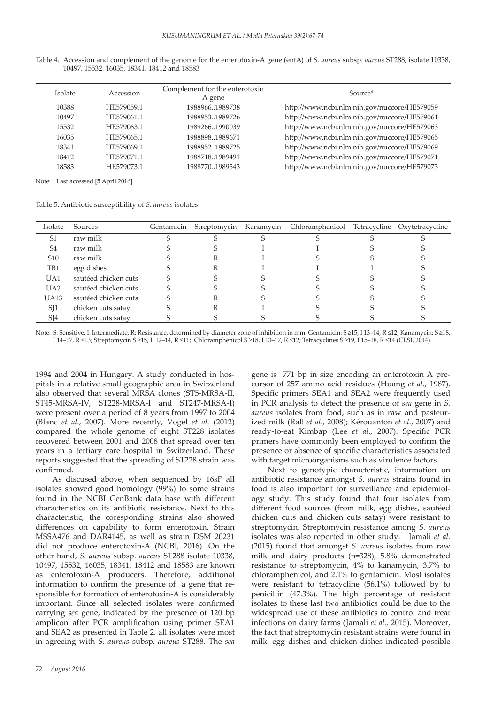| Isolate | Accession  | Complement for the enterotoxin<br>A gene | Source*                                      |
|---------|------------|------------------------------------------|----------------------------------------------|
| 10388   | HE579059.1 | 1988966.1989738                          | http://www.ncbi.nlm.nih.gov/nuccore/HE579059 |
| 10497   | HE579061.1 | 19889531989726                           | http://www.ncbi.nlm.nih.gov/nuccore/HE579061 |
| 15532   | HE579063.1 | 19892661990039                           | http://www.ncbi.nlm.nih.gov/nuccore/HE579063 |
| 16035   | HE579065.1 | 1988898.1989671                          | http://www.ncbi.nlm.nih.gov/nuccore/HE579065 |
| 18341   | HE579069.1 | 19889521989725                           | http://www.ncbi.nlm.nih.gov/nuccore/HE579069 |
| 18412   | HE579071.1 | 19887181989491                           | http://www.ncbi.nlm.nih.gov/nuccore/HE579071 |
| 18583   | HE579073.1 | 1988770.1989543                          | http://www.ncbi.nlm.nih.gov/nuccore/HE579073 |

Table 4. Accession and complement of the genome for the enterotoxin-A gene (entA) of *S. aureus* subsp. *aureus* ST288, isolate 10338, 10497, 15532, 16035, 18341, 18412 and 18583

Note: \* Last accessed [5 April 2016]

Table 5. Antibiotic susceptibility of *S. aureus* isolates

| Isolate         | Sources              | Gentamicin | Streptomycin | Kanamycin | Chloramphenicol Tetracycline Oxytetracycline |  |
|-----------------|----------------------|------------|--------------|-----------|----------------------------------------------|--|
| S <sub>1</sub>  | raw milk             |            |              |           |                                              |  |
| S <sub>4</sub>  | raw milk             |            |              |           |                                              |  |
| S <sub>10</sub> | raw milk             |            |              |           |                                              |  |
| TB1             | egg dishes           |            |              |           |                                              |  |
| UA1             | sautéed chicken cuts |            |              |           |                                              |  |
| U <sub>A2</sub> | sautéed chicken cuts |            |              |           |                                              |  |
| <b>UA13</b>     | sautéed chicken cuts |            |              |           |                                              |  |
| S <sub>I</sub>  | chicken cuts satay   |            |              |           |                                              |  |
| SJ <sub>4</sub> | chicken cuts satay   |            |              |           |                                              |  |

Note: S: Sensitive, I: Intermediate, R: Resistance, determined by diameter zone of inhibition in mm. Gentamicin: S ≥15, I 13–14, R ≤12; Kanamycin: S ≥18, I 14–17, R ≤13; Streptomycin S ≥15, I 12–14, R ≤11; Chloramphenicol S ≥18, I 13–17, R ≤12; Tetracyclines S ≥19, I 15–18, R ≤14 (CLSI, 2014).

1994 and 2004 in Hungary. A study conducted in hospitals in a relative small geographic area in Switzerland also observed that several MRSA clones (ST5-MRSA-II, ST45-MRSA-IV, ST228-MRSA-I and ST247-MRSA-I) were present over a period of 8 years from 1997 to 2004 (Blanc *et al*., 2007). More recently, Vogel *et al.* (2012) compared the whole genome of eight ST228 isolates recovered between 2001 and 2008 that spread over ten years in a tertiary care hospital in Switzerland. These reports suggested that the spreading of ST228 strain was confirmed.

As discused above, when sequenced by 16sF all isolates showed good homology (99%) to some strains found in the NCBI GenBank data base with different characteristics on its antibiotic resistance. Next to this characteristic, the coresponding strains also showed differences on capability to form enterotoxin. Strain MSSA476 and DAR4145, as well as strain DSM 20231 did not produce enterotoxin-A (NCBI, 2016). On the other hand, *S. aureus* subsp. *aureus* ST288 isolate 10338, 10497, 15532, 16035, 18341, 18412 and 18583 are known as enterotoxin-A producers. Therefore, additional information to confirm the presence of a gene that responsible for formation of enterotoxin-A is considerably important. Since all selected isolates were confirmed carrying *sea* gene, indicated by the presence of 120 bp amplicon after PCR amplification using primer SEA1 and SEA2 as presented in Table 2, all isolates were most in agreeing with *S. aureus* subsp*. aureus* ST288. The *sea* gene is 771 bp in size encoding an enterotoxin A precursor of 257 amino acid residues (Huang *et al*., 1987). Specific primers SEA1 and SEA2 were frequently used in PCR analysis to detect the presence of *sea* gene in *S. aureus* isolates from food, such as in raw and pasteurized milk (Rall *et al*., 2008); Kérouanton *et al*., 2007) and ready-to-eat Kimbap (Lee *et al*., 2007). Specific PCR primers have commonly been employed to confirm the presence or absence of specific characteristics associated with target microorganisms such as virulence factors.

Next to genotypic characteristic, information on antibiotic resistance amongst *S. aureus* strains found in food is also important for surveillance and epidemiology study. This study found that four isolates from different food sources (from milk, egg dishes, sautéed chicken cuts and chicken cuts satay) were resistant to streptomycin. Streptomycin resistance among *S. aureus* isolates was also reported in other study. Jamali *et al.*  (2015) found that amongst *S. aureus* isolates from raw milk and dairy products (n=328), 5.8% demonstrated resistance to streptomycin, 4% to kanamycin, 3.7% to chloramphenicol, and 2.1% to gentamicin. Most isolates were resistant to tetracycline (56.1%) followed by to penicillin (47.3%). The high percentage of resistant isolates to these last two antibiotics could be due to the widespread use of these antibiotics to control and treat infections on dairy farms (Jamali *et al.,* 2015). Moreover, the fact that streptomycin resistant strains were found in milk, egg dishes and chicken dishes indicated possible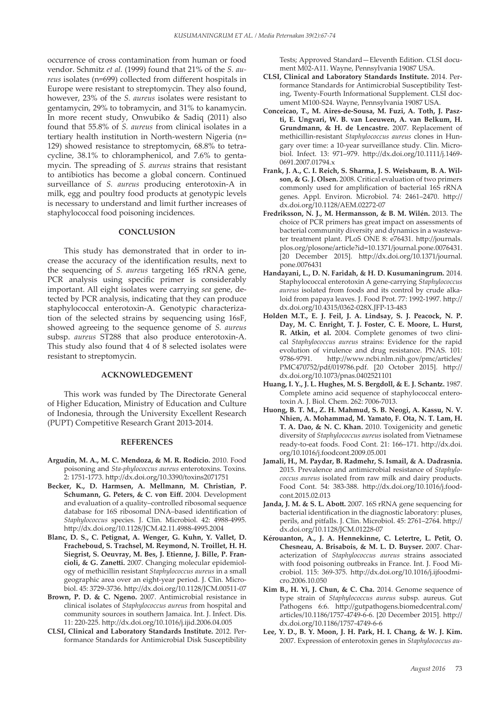occurrence of cross contamination from human or food vendor. Schmitz *et al.* (1999) found that 21% of the *S. aureus* isolates (n=699) collected from different hospitals in Europe were resistant to streptomycin. They also found, however, 23% of the *S. aureus* isolates were resistant to gentamycin, 29% to tobramycin, and 31% to kanamycin. In more recent study, Onwubiko & Sadiq (2011) also found that 55.8% of *S. aureus* from clinical isolates in a tertiary health institution in North-western Nigeria (n= 129) showed resistance to streptomycin, 68.8% to tetracycline, 38.1% to chloramphenicol, and 7.6% to gentamycin. The spreading of *S. aureus* strains that resistant to antibiotics has become a global concern. Continued surveillance of *S. aureus* producing enterotoxin-A in milk, egg and poultry food products at genotypic levels is necessary to understand and limit further increases of staphylococcal food poisoning incidences.

#### **CONCLUSION**

This study has demonstrated that in order to increase the accuracy of the identification results, next to the sequencing of *S. aureus* targeting 16S rRNA gene, PCR analysis using specific primer is considerably important. All eight isolates were carrying *sea* gene, detected by PCR analysis, indicating that they can produce staphylococcal enterotoxin-A. Genotypic characterization of the selected strains by sequencing using 16sF, showed agreeing to the sequence genome of *S. aureus* subsp. *aureus* ST288 that also produce enterotoxin-A. This study also found that 4 of 8 selected isolates were resistant to streptomycin.

#### **ACKNOWLEDGEMENT**

This work was funded by The Directorate General of Higher Education, Ministry of Education and Culture of Indonesia, through the University Excellent Research (PUPT) Competitive Research Grant 2013-2014.

#### **REFERENCES**

- **Argudín, M. A., M. C. Mendoza, & M. R. Rodicio.** 2010. Food poisoning and *Sta-phylococcus aureus* enterotoxins. Toxins. 2: 1751-1773. http://dx.doi.org/10.3390/toxins2071751
- **Becker, K., D. Harmsen, A. Mellmann, M. Christian, P. Schumann, G. Peters, & C. von Eiff.** 2004. Development and evaluation of a quality–controlled ribosomal sequence database for 16S ribosomal DNA–based identification of *Staphylococcus* species. J. Clin. Microbiol. 42: 4988-4995. http://dx.doi.org/10.1128/JCM.42.11.4988-4995.2004
- **Blanc, D. S., C. Petignat, A. Wenger, G. Kuhn, Y. Vallet, D. Fracheboud, S. Trachsel, M. Reymond, N. Troillet, H. H. Siegrist, S. Oeuvray, M. Bes, J. Etienne, J. Bille, P. Francioli, & G. Zanetti.** 2007. Changing molecular epidemiology of methicillin resistant *Staphylococcus aureus* in a small geographic area over an eight-year period. J. Clin. Microbiol. 45: 3729-3736. http://dx.doi.org/10.1128/JCM.00511-07
- **Brown, P. D. & C. Ngeno.** 2007. Antimicrobial resistance in clinical isolates of *Staphylococcus aureus* from hospital and community sources in southern Jamaica. Int. J. Infect. Dis. 11: 220-225. http://dx.doi.org/10.1016/j.ijid.2006.04.005
- **CLSI, Clinical and Laboratory Standards Institute.** 2012. Performance Standards for Antimicrobial Disk Susceptibility

Tests; Approved Standard—Eleventh Edition. CLSI document M02-A11. Wayne, Pennsylvania 19087 USA.

- **CLSI, Clinical and Laboratory Standards Institute.** 2014. Performance Standards for Antimicrobial Susceptibility Testing, Twenty-Fourth Informational Supplement. CLSI document M100-S24. Wayne, Pennsylvania 19087 USA.
- **Conceicao, T., M. Aires-de-Sousa, M. Fuzi, A. Toth, J. Paszti, E. Ungvari, W. B. van Leeuwen, A. van Belkum, H. Grundmann, & H. de Lencastre.** 2007. Replacement of methicillin-resistant *Staphylococcus aureus* clones in Hungary over time: a 10-year surveillance study. Clin. Microbiol. Infect. 13: 971–979. http://dx.doi.org/10.1111/j.1469- 0691.2007.01794.x
- **Frank, J. A., C. I. Reich, S. Sharma, J. S. Weisbaum, B. A. Wilson, & G. J. Olsen.** 2008. Critical evaluation of two primers commonly used for amplification of bacterial 16S rRNA genes. Appl. Environ. Microbiol. 74: 2461–2470. http:// dx.doi.org/10.1128/AEM.02272-07
- **Fredriksson, N. J., M. Hermansson, & B. M. Wilén.** 2013. The choice of PCR primers has great impact on assessments of bacterial community diversity and dynamics in a wastewater treatment plant. PLoS ONE 8: e76431. http://journals. plos.org/plosone/article?id=10.1371/journal.pone.0076431. [20 December 2015]. http://dx.doi.org/10.1371/journal. pone.0076431
- **Handayani, L., D. N. Faridah, & H. D. Kusumaningrum.** 2014. Staphylococcal enterotoxin A gene-carrying *Staphylococcus aureus* isolated from foods and its control by crude alkaloid from papaya leaves. J. Food Prot. 77: 1992-1997. http:// dx.doi.org/10.4315/0362-028X.JFP-13-483
- **Holden M.T., E. J. Feil, J. A. Lindsay, S. J. Peacock, N. P. Day, M. C. Enright, T. J. Foster, C. E. Moore, L. Hurst, R. Atkin, et al.** 2004. Complete genomes of two clinical *Staphylococcus aureus* strains: Evidence for the rapid evolution of virulence and drug resistance. PNAS. 101: 9786-9791. http://www.ncbi.nlm.nih.gov/pmc/articles/ PMC470752/pdf/019786.pdf. [20 October 2015]. http:// dx.doi.org/10.1073/pnas.0402521101
- **Huang, I. Y., J. L. Hughes, M. S. Bergdoll, & E. J. Schantz.** 1987. Complete amino acid sequence of staphylococcal enterotoxin A. J. Biol. Chem. 262: 7006-7013.
- **Huong, B. T. M., Z. H. Mahmud, S. B. Neogi, A. Kassu, N. V. Nhien, A. Mohammad, M. Yamato, F. Ota, N. T. Lam, H. T. A. Dao, & N. C. Khan.** 2010. Toxigenicity and genetic diversity of *Staphylococcus aureus* isolated from Vietnamese ready-to-eat foods. Food Cont. 21: 166–171. http://dx.doi. org/10.1016/j.foodcont.2009.05.001
- **Jamali, H., M. Paydar, B. Radmehr, S. Ismail, & A. Dadrasnia.** 2015. Prevalence and antimicrobial resistance of *Staphylococcus aureus* isolated from raw milk and dairy products. Food Cont. 54: 383-388. http://dx.doi.org/10.1016/j.foodcont.2015.02.013
- **Janda, J. M. & S. L. Abott.** 2007. 16S rRNA gene sequencing for bacterial identification in the diagnostic laboratory: pluses, perils, and pitfalls. J. Clin. Microbiol. 45: 2761–2764. http:// dx.doi.org/10.1128/JCM.01228-07
- **Kérouanton, A., J. A. Hennekinne, C. Letertre, L. Petit, O. Chesneau, A. Brisabois, & M. L. D. Buyser.** 2007. Characterization of *Staphylococcus aureus* strains associated with food poisoning outbreaks in France. Int. J. Food Microbiol. 115: 369-375. http://dx.doi.org/10.1016/j.ijfoodmicro.2006.10.050
- **Kim B., H. Yi, J. Chun, & C. Cha.** 2014. Genome sequence of type strain of *Staphylococcus aureus* subsp. aureus. Gut Pathogens 6:6. http://gutpathogens.biomedcentral.com/ articles/10.1186/1757-4749-6-6. [20 December 2015]. http:// dx.doi.org/10.1186/1757-4749-6-6
- **Lee, Y. D., B. Y. Moon, J. H. Park, H. I. Chang, & W. J. Kim.** 2007. Expression of enterotoxin genes in *Staphylococcus au-*